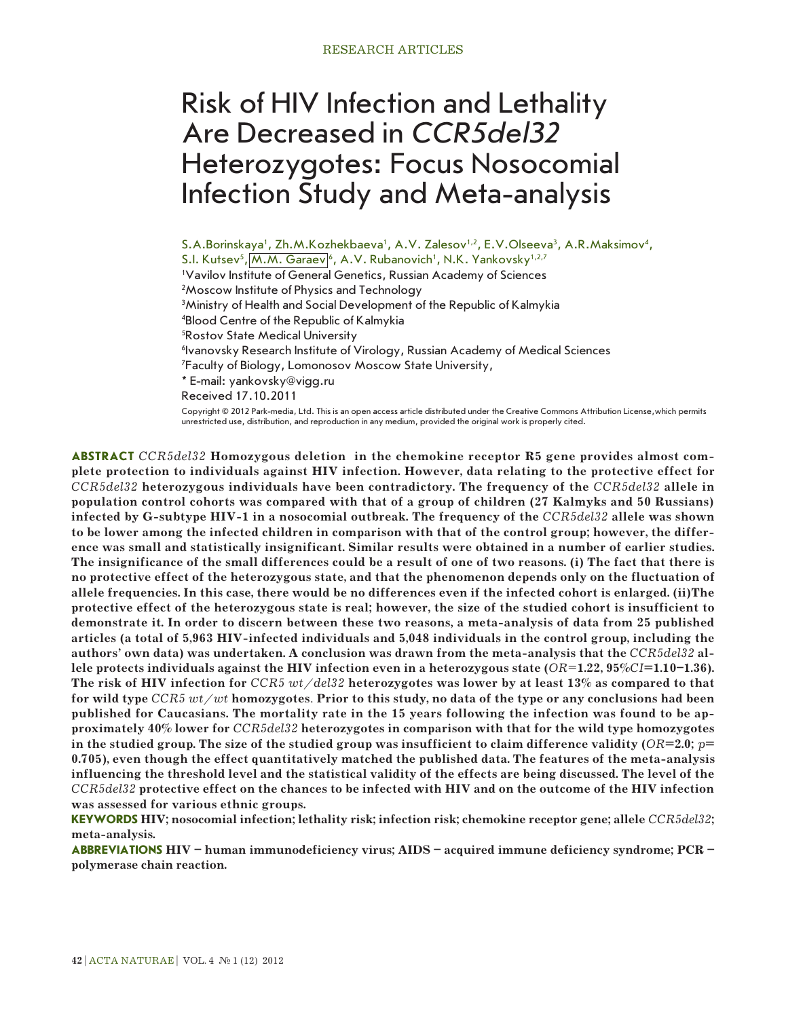# Risk of HIV Infection and Lethality Are Decreased in *CCR5del32* Heterozygotes: Focus Nosocomial Infection Study and Meta-analysis

S.A.Borinskaya', Zh.M.Kozhekbaeva', A.V. Zalesov<sup>1,2</sup>, E.V.Olseeva<sup>3</sup>, A.R.Maksimov<sup>4</sup>, S.I. Kutsev<sup>5</sup>, M.M. Garaev 6, A.V. Rubanovich<sup>1</sup>, N.K. Yankovsky<sup>1,2,7</sup> <sup>1</sup>Vavilov Institute of General Genetics, Russian Academy of Sciences 2 Moscow Institute of Physics and Technology 3 Ministry of Health and Social Development of the Republic of Kalmykia 4 Blood Centre of the Republic of Kalmykia 5 Rostov State Medical University 6 Ivanovsky Research Institute of Virology, Russian Academy of Medical Sciences 7 Faculty of Biology, Lomonosov Moscow State University, \* E-mail: yankovsky@vigg.ru Received 17.10.2011 Copyright © 2012 Park-media, Ltd. This is an open access article distributed under the Creative Commons Attribution License,which permits unrestricted use, distribution, and reproduction in any medium, provided the original work is properly cited.

**ABSTRACT** *CCR5del32* **Homozygous deletion in the chemokine receptor R5 gene provides almost complete protection to individuals against HIV infection. However, data relating to the protective effect for**  *CCR5del32* **heterozygous individuals have been contradictory. The frequency of the** *CCR5del32* **allele in population control cohorts was compared with that of a group of children (27 Kalmyks and 50 Russians) infected by G-subtype HIV-1 in a nosocomial outbreak. The frequency of the** *CCR5del32* **allele was shown to be lower among the infected children in comparison with that of the control group; however, the difference was small and statistically insignificant. Similar results were obtained in a number of earlier studies. The insignificance of the small differences could be a result of one of two reasons. (i) The fact that there is no protective effect of the heterozygous state, and that the phenomenon depends only on the fluctuation of allele frequencies. In this case, there would be no differences even if the infected cohort is enlarged. (ii)The protective effect of the heterozygous state is real; however, the size of the studied cohort is insufficient to demonstrate it. In order to discern between these two reasons, a meta-analysis of data from 25 published articles (a total of 5,963 HIV-infected individuals and 5,048 individuals in the control group, including the authors' own data) was undertaken. A conclusion was drawn from the meta-analysis that the** *CCR5del32* **allele protects individuals against the HIV infection even in a heterozygous state (***OR=***1.22, 95%***CI***=1.10–1.36). The risk of HIV infection for** *CCR5 wt/del32* **heterozygotes was lower by at least 13% as compared to that for wild type** *CCR5 wt/wt* **homozygotes***.* **Prior to this study, no data of the type or any conclusions had been published for Caucasians. The mortality rate in the 15 years following the infection was found to be approximately 40% lower for** *CCR5del32* **heterozygotes in comparison with that for the wild type homozygotes in the studied group. The size of the studied group was insufficient to claim difference validity (***OR***=2.0;** *p***= 0.705), even though the effect quantitatively matched the published data. The features of the meta-analysis influencing the threshold level and the statistical validity of the effects are being discussed. The level of the**  *CCR5del32* **protective effect on the chances to be infected with HIV and on the outcome of the HIV infection was assessed for various ethnic groups.**

**KEYWORDS HIV; nosocomial infection; lethality risk; infection risk; chemokine receptor gene; allele** *CCR5del32***; meta-analysis.**

**ABBREVIATIONS HIV – human immunodeficiency virus; AIDS – acquired immune deficiency syndrome; PCR – polymerase chain reaction.**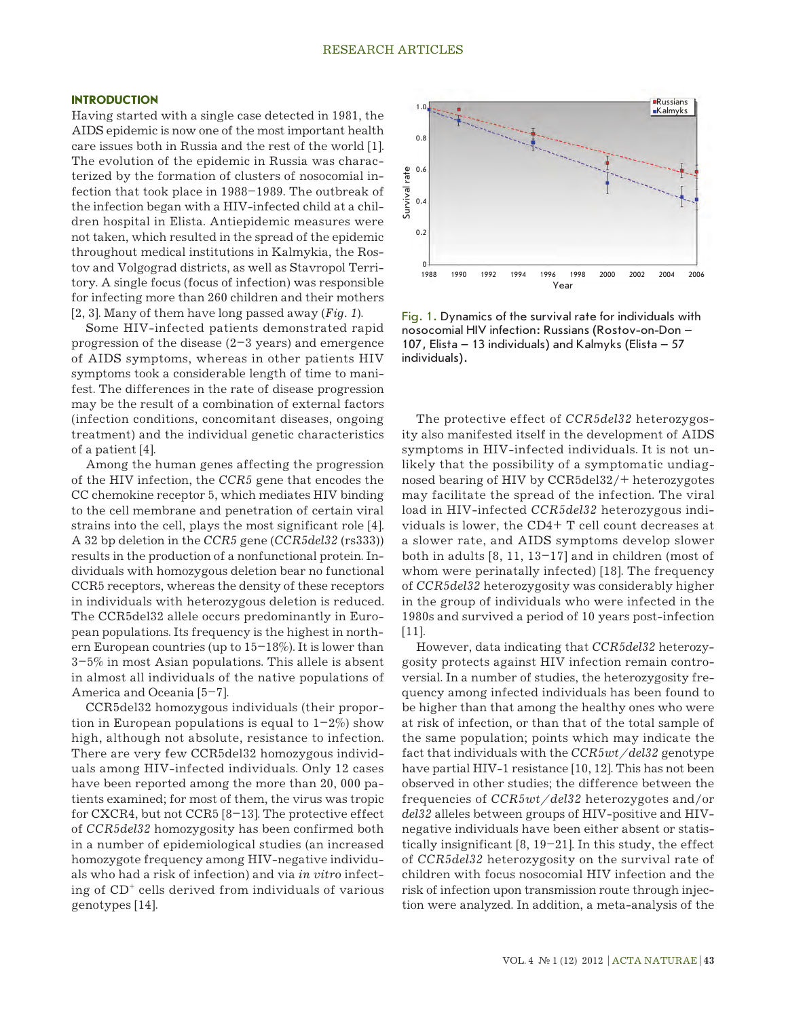#### **INTRODUCTION**

Having started with a single case detected in 1981, the AIDS epidemic is now one of the most important health care issues both in Russia and the rest of the world [1]. The evolution of the epidemic in Russia was characterized by the formation of clusters of nosocomial infection that took place in 1988–1989. The outbreak of the infection began with a HIV-infected child at a children hospital in Elista. Antiepidemic measures were not taken, which resulted in the spread of the epidemic throughout medical institutions in Kalmykia, the Rostov and Volgograd districts, as well as Stavropol Territory. A single focus (focus of infection) was responsible for infecting more than 260 children and their mothers [2, 3]. Many of them have long passed away (*Fig. 1*).

Some HIV-infected patients demonstrated rapid progression of the disease (2–3 years) and emergence of AIDS symptoms, whereas in other patients HIV symptoms took a considerable length of time to manifest. The differences in the rate of disease progression may be the result of a combination of external factors (infection conditions, concomitant diseases, ongoing treatment) and the individual genetic characteristics of a patient [4].

Among the human genes affecting the progression of the HIV infection, the *CCR5* gene that encodes the CC chemokine receptor 5, which mediates HIV binding to the cell membrane and penetration of certain viral strains into the cell, plays the most significant role [4]. A 32 bp deletion in the *CCR5* gene (*CCR5del32* (rs333)) results in the production of a nonfunctional protein. Individuals with homozygous deletion bear no functional CCR5 receptors, whereas the density of these receptors in individuals with heterozygous deletion is reduced. The CCR5del32 allele occurs predominantly in European populations. Its frequency is the highest in northern European countries (up to  $15-18\%$ ). It is lower than 3–5% in most Asian populations. This allele is absent in almost all individuals of the native populations of America and Oceania [5–7].

CCR5del32 homozygous individuals (their proportion in European populations is equal to  $1-2\%$ ) show high, although not absolute, resistance to infection. There are very few CCR5del32 homozygous individuals among HIV-infected individuals. Only 12 cases have been reported among the more than 20, 000 patients examined; for most of them, the virus was tropic for CXCR4, but not CCR5 [8–13]. The protective effect of *CCR5del32* homozygosity has been confirmed both in a number of epidemiological studies (an increased homozygote frequency among HIV-negative individuals who had a risk of infection) and via *in vitro* infecting of CD+ cells derived from individuals of various genotypes [14].



Fig. 1. Dynamics of the survival rate for individuals with nosocomial HIV infection: Russians (Rostov-on-Don – 107, Elista – 13 individuals) and Kalmyks (Elista – 57 individuals).

The protective effect of *CCR5del32* heterozygosity also manifested itself in the development of AIDS symptoms in HIV-infected individuals. It is not unlikely that the possibility of a symptomatic undiagnosed bearing of HIV by CCR5del32/+ heterozygotes may facilitate the spread of the infection. The viral load in HIV-infected *CCR5del32* heterozygous individuals is lower, the CD4+ T cell count decreases at a slower rate, and AIDS symptoms develop slower both in adults [8, 11, 13–17] and in children (most of whom were perinatally infected) [18]. The frequency of *CCR5del32* heterozygosity was considerably higher in the group of individuals who were infected in the 1980s and survived a period of 10 years post-infection [11].

However, data indicating that *CCR5del32* heterozygosity protects against HIV infection remain controversial. In a number of studies, the heterozygosity frequency among infected individuals has been found to be higher than that among the healthy ones who were at risk of infection, or than that of the total sample of the same population; points which may indicate the fact that individuals with the *CCR5wt/del32* genotype have partial HIV-1 resistance [10, 12]. This has not been observed in other studies; the difference between the frequencies of *CCR5wt/del32* heterozygotes and/or *del32* alleles between groups of HIV-positive and HIVnegative individuals have been either absent or statistically insignificant  $[8, 19-21]$ . In this study, the effect of *CCR5del32* heterozygosity on the survival rate of children with focus nosocomial HIV infection and the risk of infection upon transmission route through injection were analyzed. In addition, a meta-analysis of the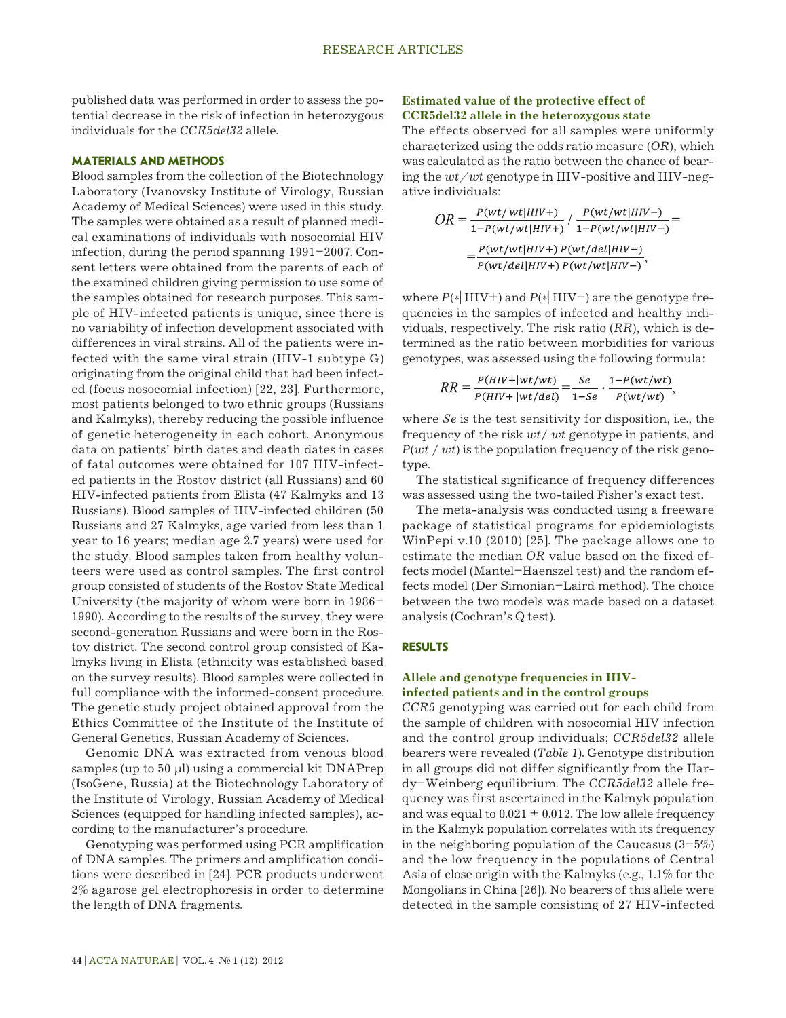published data was performed in order to assess the potential decrease in the risk of infection in heterozygous individuals for the *CCR5del32* allele.

### **MATERIALS AND METHODS**

Blood samples from the collection of the Biotechnology Laboratory (Ivanovsky Institute of Virology, Russian Academy of Medical Sciences) were used in this study. The samples were obtained as a result of planned medical examinations of individuals with nosocomial HIV infection, during the period spanning 1991–2007. Consent letters were obtained from the parents of each of the examined children giving permission to use some of the samples obtained for research purposes. This sample of HIV-infected patients is unique, since there is no variability of infection development associated with differences in viral strains. All of the patients were infected with the same viral strain (HIV-1 subtype G) originating from the original child that had been infected (focus nosocomial infection) [22, 23]. Furthermore, most patients belonged to two ethnic groups (Russians and Kalmyks), thereby reducing the possible influence of genetic heterogeneity in each cohort. Anonymous data on patients' birth dates and death dates in cases of fatal outcomes were obtained for 107 HIV-infected patients in the Rostov district (all Russians) and 60 HIV-infected patients from Elista (47 Kalmyks and 13 Russians). Blood samples of HIV-infected children (50 Russians and 27 Kalmyks, age varied from less than 1 year to 16 years; median age 2.7 years) were used for the study. Blood samples taken from healthy volunteers were used as control samples. The first control group consisted of students of the Rostov State Medical University (the majority of whom were born in 1986– 1990). According to the results of the survey, they were second-generation Russians and were born in the Rostov district. The second control group consisted of Kalmyks living in Elista (ethnicity was established based on the survey results). Blood samples were collected in full compliance with the informed-consent procedure. The genetic study project obtained approval from the Ethics Committee of the Institute of the Institute of General Genetics, Russian Academy of Sciences.

Genomic DNA was extracted from venous blood samples (up to  $50 \mu l$ ) using a commercial kit DNAPrep (IsoGene, Russia) at the Biotechnology Laboratory of the Institute of Virology, Russian Academy of Medical Sciences (equipped for handling infected samples), according to the manufacturer's procedure.

Genotyping was performed using PCR amplification of DNA samples. The primers and amplification conditions were described in [24]. PCR products underwent 2% agarose gel electrophoresis in order to determine the length of DNA fragments.

## **Estimated value of the protective effect of CCR5del32 allele in the heterozygous state**

The effects observed for all samples were uniformly characterized using the odds ratio measure (*OR*), which was calculated as the ratio between the chance of bearing the *wt/wt* genotype in HIV-positive and HIV-negative individuals:

$$
OR = \frac{P(wt/wt|HIV+)}{1-P(wt/wt|HIV+)} / \frac{P(wt/wt|HIV-)}{1-P(wt/wt|HIV-)} =
$$

$$
= \frac{P(wt/wt|HIV+)}{P(wt/del|HIV+)} \frac{P(wt/del|HIV-)}{P(wt/del|HIV+)}.
$$

where  $P(*)$  HIV+) and  $P(*)$  HIV-) are the genotype frequencies in the samples of infected and healthy individuals, respectively. The risk ratio (*RR*), which is determined as the ratio between morbidities for various genotypes, was assessed using the following formula:

$$
RR = \frac{P(HIV+|wt/wt)}{P(HIV+|wt/del)} = \frac{Se}{1-Se} \cdot \frac{1-P(wt/wt)}{P(wt/wt)},
$$

where *Se* is the test sensitivity for disposition, i.e., the frequency of the risk *wt*/ *wt* genotype in patients, and *P*(*wt* / *wt*) is the population frequency of the risk genotype.

The statistical significance of frequency differences was assessed using the two-tailed Fisher's exact test.

The meta-analysis was conducted using a freeware package of statistical programs for epidemiologists WinPepi v.10 (2010) [25]. The package allows one to estimate the median *OR* value based on the fixed effects model (Mantel–Haenszel test) and the random effects model (Der Simonian–Laird method). The choice between the two models was made based on a dataset analysis (Cochran's Q test).

#### **RESULTS**

### **Allele and genotype frequencies in HIVinfected patients and in the control groups**

*CCR5* genotyping was carried out for each child from the sample of children with nosocomial HIV infection and the control group individuals; *CCR5del32* allele bearers were revealed (*Table 1*). Genotype distribution in all groups did not differ significantly from the Hardy–Weinberg equilibrium. The *CCR5del32* allele frequency was first ascertained in the Kalmyk population and was equal to  $0.021 \pm 0.012$ . The low allele frequency in the Kalmyk population correlates with its frequency in the neighboring population of the Caucasus  $(3-5\%)$ and the low frequency in the populations of Central Asia of close origin with the Kalmyks (e.g., 1.1% for the Mongolians in China [26]). No bearers of this allele were detected in the sample consisting of 27 HIV-infected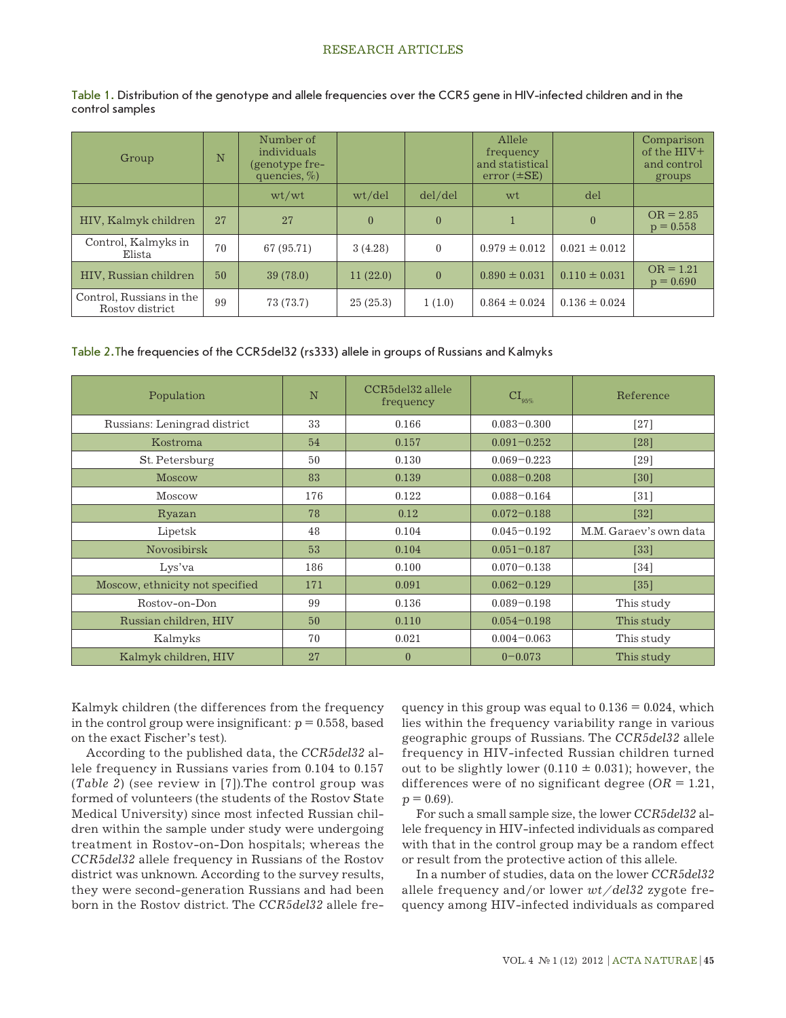## RESEARCH ARTICLES

| Table 1. Distribution of the genotype and allele frequencies over the CCR5 gene in HIV-infected children and in the |  |  |  |
|---------------------------------------------------------------------------------------------------------------------|--|--|--|
| control samples                                                                                                     |  |  |  |

| Group                                       | N  | Number of<br>individuals<br>(genotype fre-<br>quencies, $\%$ ) |          |          | Allele<br>frequency<br>and statistical<br>$error (\pm SE)$ |                   | Comparison<br>of the HIV+<br>and control<br>groups |
|---------------------------------------------|----|----------------------------------------------------------------|----------|----------|------------------------------------------------------------|-------------------|----------------------------------------------------|
|                                             |    | wt/wt                                                          | wt/del   | del/del  | wt                                                         | del               |                                                    |
| HIV, Kalmyk children                        | 27 | 27                                                             | $\theta$ | $\theta$ |                                                            | $\theta$          | $OR = 2.85$<br>$p = 0.558$                         |
| Control, Kalmyks in<br>Elista               | 70 | 67 (95.71)                                                     | 3(4.28)  | $\theta$ | $0.979 \pm 0.012$                                          | $0.021 \pm 0.012$ |                                                    |
| HIV, Russian children                       | 50 | 39(78.0)                                                       | 11(22.0) | $\theta$ | $0.890 \pm 0.031$                                          | $0.110 \pm 0.031$ | $OR = 1.21$<br>$p = 0.690$                         |
| Control, Russians in the<br>Rostov district | 99 | 73 (73.7)                                                      | 25(25.3) | 1(1.0)   | $0.864 \pm 0.024$                                          | $0.136 \pm 0.024$ |                                                    |

#### Table 2.The frequencies of the CCR5del32 (rs333) allele in groups of Russians and Kalmyks

| Population                      | N   | CCR5del32 allele<br>frequency | $CI_{95\%}$     | Reference              |
|---------------------------------|-----|-------------------------------|-----------------|------------------------|
| Russians: Leningrad district    | 33  | 0.166                         | $0.083 - 0.300$ | $[27]$                 |
| Kostroma                        | 54  | 0.157                         | $0.091 - 0.252$ | [28]                   |
| St. Petersburg                  | 50  | 0.130                         | $0.069 - 0.223$ | [29]                   |
| <b>Moscow</b>                   | 83  | 0.139                         | $0.088 - 0.208$ | [30]                   |
| Moscow                          | 176 | 0.122                         | $0.088 - 0.164$ | $[31]$                 |
| Ryazan                          | 78  | 0.12                          | $0.072 - 0.188$ | $[32]$                 |
| Lipetsk                         | 48  | 0.104                         | $0.045 - 0.192$ | M.M. Garaey's own data |
| <b>Novosibirsk</b>              | 53  | 0.104                         | $0.051 - 0.187$ | $[33]$                 |
| Lys'va                          | 186 | 0.100                         | $0.070 - 0.138$ | $[34]$                 |
| Moscow, ethnicity not specified | 171 | 0.091                         | $0.062 - 0.129$ | $[35]$                 |
| Rostov-on-Don                   | 99  | 0.136                         | $0.089 - 0.198$ | This study             |
| Russian children, HIV           | 50  | 0.110                         | $0.054 - 0.198$ | This study             |
| Kalmyks                         | 70  | 0.021                         | $0.004 - 0.063$ | This study             |
| Kalmyk children, HIV            | 27  | $\overline{0}$                | $0 - 0.073$     | This study             |

Kalmyk children (the differences from the frequency in the control group were insignificant:  $p = 0.558$ , based on the exact Fischer's test).

According to the published data, the *CCR5del32* allele frequency in Russians varies from 0.104 to 0.157 (*Table 2*) (see review in [7]).The control group was formed of volunteers (the students of the Rostov State Medical University) since most infected Russian children within the sample under study were undergoing treatment in Rostov-on-Don hospitals; whereas the *CCR5del32* allele frequency in Russians of the Rostov district was unknown. According to the survey results, they were second-generation Russians and had been born in the Rostov district. The *CCR5del32* allele frequency in this group was equal to  $0.136 = 0.024$ , which lies within the frequency variability range in various geographic groups of Russians. The *CCR5del32* allele frequency in HIV-infected Russian children turned out to be slightly lower (0.110  $\pm$  0.031); however, the differences were of no significant degree  $(OR = 1.21,$  $p = 0.69$ ).

For such a small sample size, the lower *CCR5del32* allele frequency in HIV-infected individuals as compared with that in the control group may be a random effect or result from the protective action of this allele.

In a number of studies, data on the lower *CCR5del32*  allele frequency and/or lower *wt/del32* zygote frequency among HIV-infected individuals as compared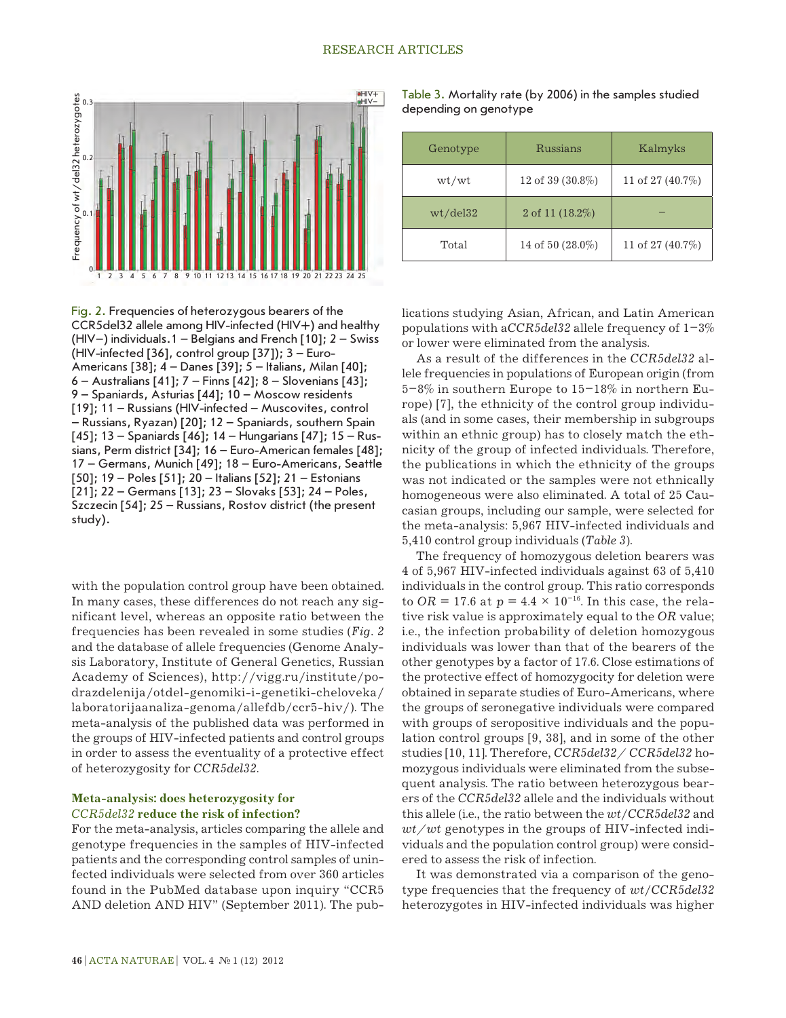

Fig. 2. Frequencies of heterozygous bearers of the CCR5del32 allele among HIV-infected (HIV+) and healthy (HIV–) individuals.1 – Belgians and French [10]; 2 – Swiss (HIV-infected [36], control group  $[37]$ );  $3 -$  Euro-Americans [38]; 4 – Danes [39]; 5 – Italians, Milan [40]; 6 – Australians [41]; 7 – Finns [42]; 8 – Slovenians [43]; 9 – Spaniards, Asturias [44]; 10 – Moscow residents [19]; 11 – Russians (HIV-infected – Muscovites, control – Russians, Ryazan) [20]; 12 – Spaniards, southern Spain [45]; 13 – Spaniards [46]; 14 – Hungarians [47]; 15 – Russians, Perm district [34]; 16 – Euro-American females [48]; 17 – Germans, Munich [49]; 18 – Euro-Americans, Seattle [50]; 19 – Poles [51]; 20 – Italians [52]; 21 – Estonians [21]; 22 – Germans [13]; 23 – Slovaks [53]; 24 – Poles, Szczecin [54]; 25 – Russians, Rostov district (the present study).

with the population control group have been obtained. In many cases, these differences do not reach any significant level, whereas an opposite ratio between the frequencies has been revealed in some studies (*Fig. 2* and the database of allele frequencies (Genome Analysis Laboratory, Institute of General Genetics, Russian Academy of Sciences), http://vigg.ru/institute/podrazdelenija/otdel-genomiki-i-genetiki-cheloveka/ laboratorijaanaliza-genoma/allefdb/ccr5-hiv/). The meta-analysis of the published data was performed in the groups of HIV-infected patients and control groups in order to assess the eventuality of a protective effect of heterozygosity for *CCR5del32*.

#### **Meta-analysis: does heterozygosity for**  *CCR5del32* **reduce the risk of infection?**

For the meta-analysis, articles comparing the allele and genotype frequencies in the samples of HIV-infected patients and the corresponding control samples of uninfected individuals were selected from over 360 articles found in the PubMed database upon inquiry "CCR5 AND deletion AND HIV" (September 2011). The pub-

Table 3. Mortality rate (by 2006) in the samples studied depending on genotype

| Genotype | Russians         | Kalmyks          |  |  |
|----------|------------------|------------------|--|--|
| wt/wt    | 12 of 39 (30.8%) | 11 of 27 (40.7%) |  |  |
| wt/del32 | 2 of 11 (18.2%)  |                  |  |  |
| Total    | 14 of 50 (28.0%) | 11 of 27 (40.7%) |  |  |

lications studying Asian, African, and Latin American populations with a*CCR5del32* allele frequency of 1–3% or lower were eliminated from the analysis.

As a result of the differences in the *CCR5del32* allele frequencies in populations of European origin (from 5–8% in southern Europe to 15–18% in northern Europe) [7], the ethnicity of the control group individuals (and in some cases, their membership in subgroups within an ethnic group) has to closely match the ethnicity of the group of infected individuals. Therefore, the publications in which the ethnicity of the groups was not indicated or the samples were not ethnically homogeneous were also eliminated. A total of 25 Caucasian groups, including our sample, were selected for the meta-analysis: 5,967 HIV-infected individuals and 5,410 control group individuals (*Table 3*).

The frequency of homozygous deletion bearers was 4 of 5,967 HIV-infected individuals against 63 of 5,410 individuals in the control group. This ratio corresponds to *OR* = 17.6 at  $p = 4.4 \times 10^{-16}$ . In this case, the relative risk value is approximately equal to the *OR* value; i.e., the infection probability of deletion homozygous individuals was lower than that of the bearers of the other genotypes by a factor of 17.6. Close estimations of the protective effect of homozygocity for deletion were obtained in separate studies of Euro-Americans, where the groups of seronegative individuals were compared with groups of seropositive individuals and the population control groups [9, 38], and in some of the other studies [10, 11]. Therefore, *CCR5del32/ CCR5del32* homozygous individuals were eliminated from the subsequent analysis. The ratio between heterozygous bearers of the *CCR5del32* allele and the individuals without this allele (i.e., the ratio between the *wt*/*CCR5del32* and *wt/wt* genotypes in the groups of HIV-infected individuals and the population control group) were considered to assess the risk of infection.

It was demonstrated via a comparison of the genotype frequencies that the frequency of *wt*/*CCR5del32*  heterozygotes in HIV-infected individuals was higher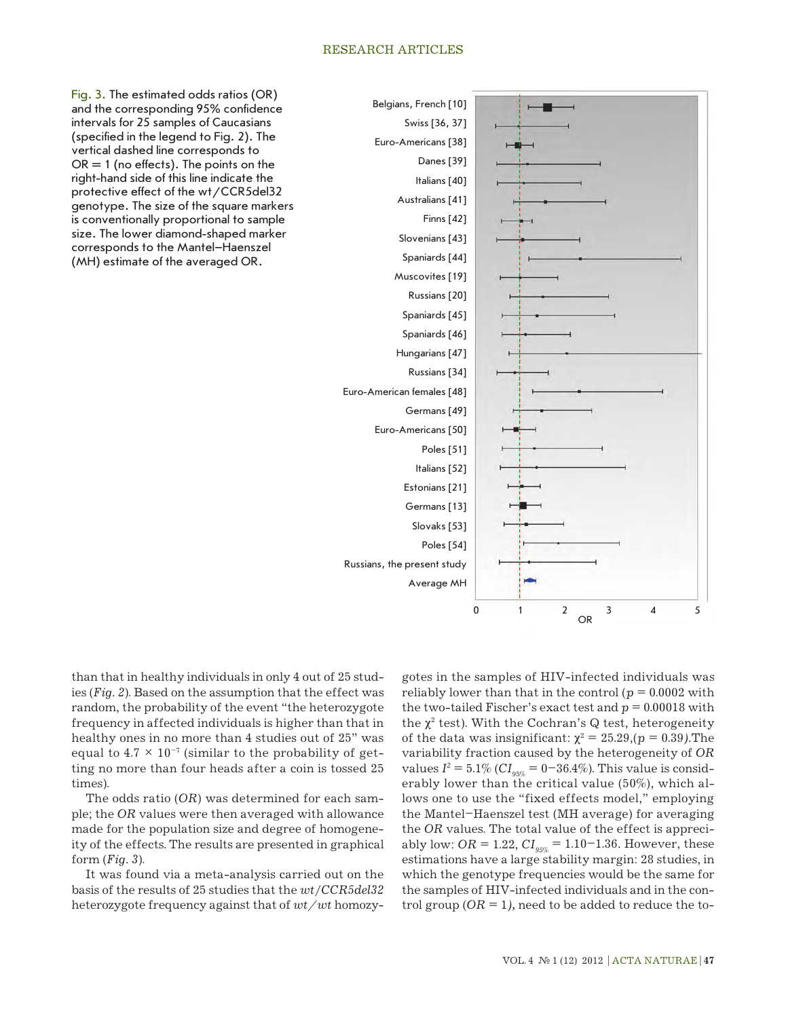#### RESEARCH ARTICLES



Fig. 3. The estimated odds ratios (OR) and the corresponding 95% confidence intervals for 25 samples of Caucasians (specified in the legend to Fig. 2). The vertical dashed line corresponds to  $OR = 1$  (no effects). The points on the right-hand side of this line indicate the protective effect of the wt/CCR5del32 genotype. The size of the square markers is conventionally proportional to sample size. The lower diamond-shaped marker corresponds to the Mantel–Haenszel (MH) estimate of the averaged OR.

than that in healthy individuals in only 4 out of 25 studies (*Fig. 2*). Based on the assumption that the effect was random, the probability of the event "the heterozygote frequency in affected individuals is higher than that in healthy ones in no more than 4 studies out of 25" was equal to  $4.7 \times 10^{-7}$  (similar to the probability of getting no more than four heads after a coin is tossed 25 times).

The odds ratio (*OR*) was determined for each sample; the *OR* values were then averaged with allowance made for the population size and degree of homogeneity of the effects. The results are presented in graphical form (*Fig. 3*).

It was found via a meta-analysis carried out on the basis of the results of 25 studies that the *wt*/*CCR5del32*  heterozygote frequency against that of *wt/wt* homozygotes in the samples of HIV-infected individuals was reliably lower than that in the control ( $p = 0.0002$  with the two-tailed Fischer's exact test and  $p = 0.00018$  with the  $\chi^2$  test). With the Cochran's Q test, heterogeneity of the data was insignificant:  $\chi^2 = 25.29$ ,  $(p = 0.39)$ . The variability fraction caused by the heterogeneity of *OR* values  $I^2 = 5.1\%$  ( $CI_{0.5\%} = 0-36.4\%$ ). This value is considerably lower than the critical value (50%), which allows one to use the "fixed effects model," employing the Mantel–Haenszel test (MH average) for averaging the *OR* values. The total value of the effect is appreciably low:  $OR = 1.22$ ,  $CI_{g5\%} = 1.10 - 1.36$ . However, these estimations have a large stability margin: 28 studies, in which the genotype frequencies would be the same for the samples of HIV-infected individuals and in the control group (*OR* = 1*),* need to be added to reduce the to-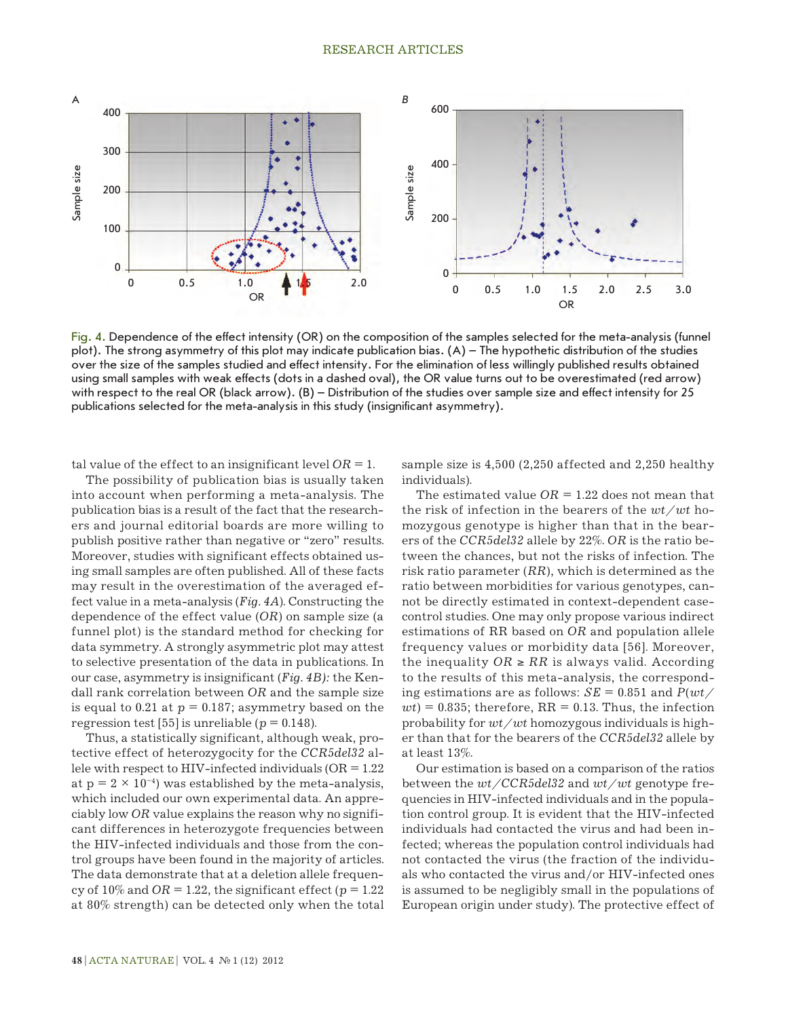

Fig. 4. Dependence of the effect intensity (OR) on the composition of the samples selected for the meta-analysis (funnel plot). The strong asymmetry of this plot may indicate publication bias. (A) – The hypothetic distribution of the studies over the size of the samples studied and effect intensity. For the elimination of less willingly published results obtained using small samples with weak effects (dots in a dashed oval), the OR value turns out to be overestimated (red arrow) with respect to the real OR (black arrow). (B) – Distribution of the studies over sample size and effect intensity for 25 publications selected for the meta-analysis in this study (insignificant asymmetry).

tal value of the effect to an insignificant level  $OR = 1$ .

The possibility of publication bias is usually taken into account when performing a meta-analysis. The publication bias is a result of the fact that the researchers and journal editorial boards are more willing to publish positive rather than negative or "zero" results. Moreover, studies with significant effects obtained using small samples are often published. All of these facts may result in the overestimation of the averaged effect value in a meta-analysis (*Fig. 4A*). Constructing the dependence of the effect value (*OR*) on sample size (a funnel plot) is the standard method for checking for data symmetry. A strongly asymmetric plot may attest to selective presentation of the data in publications. In our case, asymmetry is insignificant (*Fig. 4B):* the Kendall rank correlation between *OR* and the sample size is equal to 0.21 at  $p = 0.187$ ; asymmetry based on the regression test [55] is unreliable ( $p = 0.148$ ).

Thus, a statistically significant, although weak, protective effect of heterozygocity for the *CCR5del32* allele with respect to HIV-infected individuals ( $OR = 1.22$ ) at  $p = 2 \times 10^{-4}$ ) was established by the meta-analysis, which included our own experimental data. An appreciably low *OR* value explains the reason why no significant differences in heterozygote frequencies between the HIV-infected individuals and those from the control groups have been found in the majority of articles. The data demonstrate that at a deletion allele frequency of  $10\%$  and  $OR = 1.22$ , the significant effect ( $p = 1.22$ ) at 80% strength) can be detected only when the total sample size is 4,500 (2,250 affected and 2,250 healthy individuals).

The estimated value  $OR = 1.22$  does not mean that the risk of infection in the bearers of the *wt/wt* homozygous genotype is higher than that in the bearers of the *CCR5del32* allele by 22%. *OR* is the ratio between the chances, but not the risks of infection. The risk ratio parameter (*RR*), which is determined as the ratio between morbidities for various genotypes, cannot be directly estimated in context-dependent casecontrol studies. One may only propose various indirect estimations of RR based on *OR* and population allele frequency values or morbidity data [56]. Moreover, the inequality  $OR ≥ RR$  is always valid. According to the results of this meta-analysis, the corresponding estimations are as follows: *SE* = 0.851 and *P*(*wt/*  $wt$ ) = 0.835; therefore, RR = 0.13. Thus, the infection probability for *wt/wt* homozygous individuals is higher than that for the bearers of the *CCR5del32* allele by at least 13%.

Our estimation is based on a comparison of the ratios between the *wt/CCR5del32* and *wt/wt* genotype frequencies in HIV-infected individuals and in the population control group. It is evident that the HIV-infected individuals had contacted the virus and had been infected; whereas the population control individuals had not contacted the virus (the fraction of the individuals who contacted the virus and/or HIV-infected ones is assumed to be negligibly small in the populations of European origin under study). The protective effect of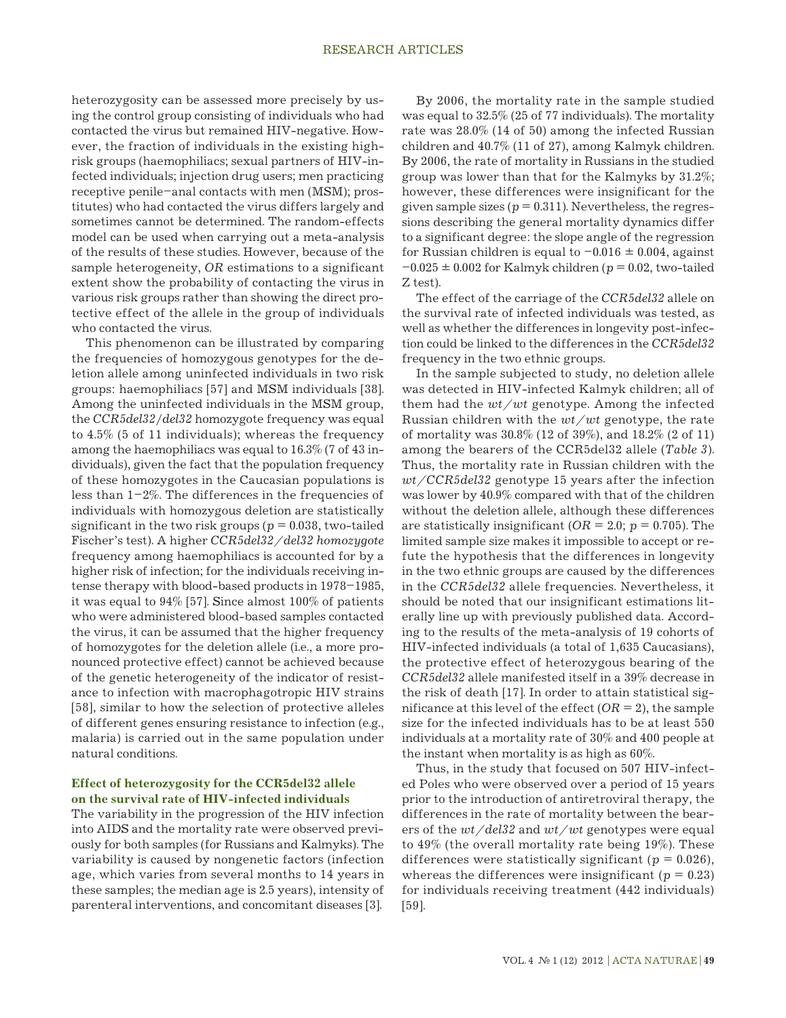heterozygosity can be assessed more precisely by using the control group consisting of individuals who had contacted the virus but remained HIV-negative. However, the fraction of individuals in the existing highrisk groups (haemophiliacs; sexual partners of HIV-infected individuals; injection drug users; men practicing receptive penile–anal contacts with men (MSM); prostitutes) who had contacted the virus differs largely and sometimes cannot be determined. The random-effects model can be used when carrying out a meta-analysis of the results of these studies. However, because of the sample heterogeneity, *OR* estimations to a significant extent show the probability of contacting the virus in various risk groups rather than showing the direct protective effect of the allele in the group of individuals who contacted the virus.

This phenomenon can be illustrated by comparing the frequencies of homozygous genotypes for the deletion allele among uninfected individuals in two risk groups: haemophiliacs [57] and MSM individuals [38]. Among the uninfected individuals in the MSM group, the *CCR5del32*/*del32* homozygote frequency was equal to 4.5% (5 of 11 individuals); whereas the frequency among the haemophiliacs was equal to 16.3% (7 of 43 individuals), given the fact that the population frequency of these homozygotes in the Caucasian populations is less than  $1-2\%$ . The differences in the frequencies of individuals with homozygous deletion are statistically significant in the two risk groups ( $p = 0.038$ , two-tailed Fischer's test). A higher *CCR5del32/del32 homozygote*  frequency among haemophiliacs is accounted for by a higher risk of infection; for the individuals receiving intense therapy with blood-based products in 1978–1985, it was equal to 94% [57]. Since almost 100% of patients who were administered blood-based samples contacted the virus, it can be assumed that the higher frequency of homozygotes for the deletion allele (i.e., a more pronounced protective effect) cannot be achieved because of the genetic heterogeneity of the indicator of resistance to infection with macrophagotropic HIV strains [58], similar to how the selection of protective alleles of different genes ensuring resistance to infection (e.g., malaria) is carried out in the same population under natural conditions.

## **Effect of heterozygosity for the CCR5del32 allele on the survival rate of HIV-infected individuals**

The variability in the progression of the HIV infection into AIDS and the mortality rate were observed previously for both samples (for Russians and Kalmyks). The variability is caused by nongenetic factors (infection age, which varies from several months to 14 years in these samples; the median age is 2.5 years), intensity of parenteral interventions, and concomitant diseases [3].

By 2006, the mortality rate in the sample studied was equal to 32.5% (25 of 77 individuals). The mortality rate was 28.0% (14 of 50) among the infected Russian children and 40.7% (11 of 27), among Kalmyk children. By 2006, the rate of mortality in Russians in the studied group was lower than that for the Kalmyks by 31.2%; however, these differences were insignificant for the given sample sizes ( $p = 0.311$ ). Nevertheless, the regressions describing the general mortality dynamics differ to a significant degree: the slope angle of the regression for Russian children is equal to  $-0.016 \pm 0.004$ , against  $-0.025 \pm 0.002$  for Kalmyk children ( $p = 0.02$ , two-tailed Z test).

The effect of the carriage of the *CCR5del32* allele on the survival rate of infected individuals was tested, as well as whether the differences in longevity post-infection could be linked to the differences in the *CCR5del32* frequency in the two ethnic groups.

In the sample subjected to study, no deletion allele was detected in HIV-infected Kalmyk children; all of them had the *wt/wt* genotype. Among the infected Russian children with the *wt/wt* genotype, the rate of mortality was 30.8% (12 of 39%), and 18.2% (2 of 11) among the bearers of the CCR5del32 allele (*Table 3*). Thus, the mortality rate in Russian children with the *wt/CCR5del32* genotype 15 years after the infection was lower by 40.9% compared with that of the children without the deletion allele, although these differences are statistically insignificant ( $OR = 2.0$ ;  $p = 0.705$ ). The limited sample size makes it impossible to accept or refute the hypothesis that the differences in longevity in the two ethnic groups are caused by the differences in the *CCR5del32* allele frequencies. Nevertheless, it should be noted that our insignificant estimations literally line up with previously published data. According to the results of the meta-analysis of 19 cohorts of HIV-infected individuals (a total of 1,635 Caucasians), the protective effect of heterozygous bearing of the *CCR5del32* allele manifested itself in a 39% decrease in the risk of death [17]. In order to attain statistical significance at this level of the effect  $(OR = 2)$ , the sample size for the infected individuals has to be at least 550 individuals at a mortality rate of 30% and 400 people at the instant when mortality is as high as 60%.

Thus, in the study that focused on 507 HIV-infected Poles who were observed over a period of 15 years prior to the introduction of antiretroviral therapy, the differences in the rate of mortality between the bearers of the *wt/del32* and *wt/wt* genotypes were equal to 49% (the overall mortality rate being 19%). These differences were statistically significant ( $p = 0.026$ ), whereas the differences were insignificant ( $p = 0.23$ ) for individuals receiving treatment (442 individuals) [59].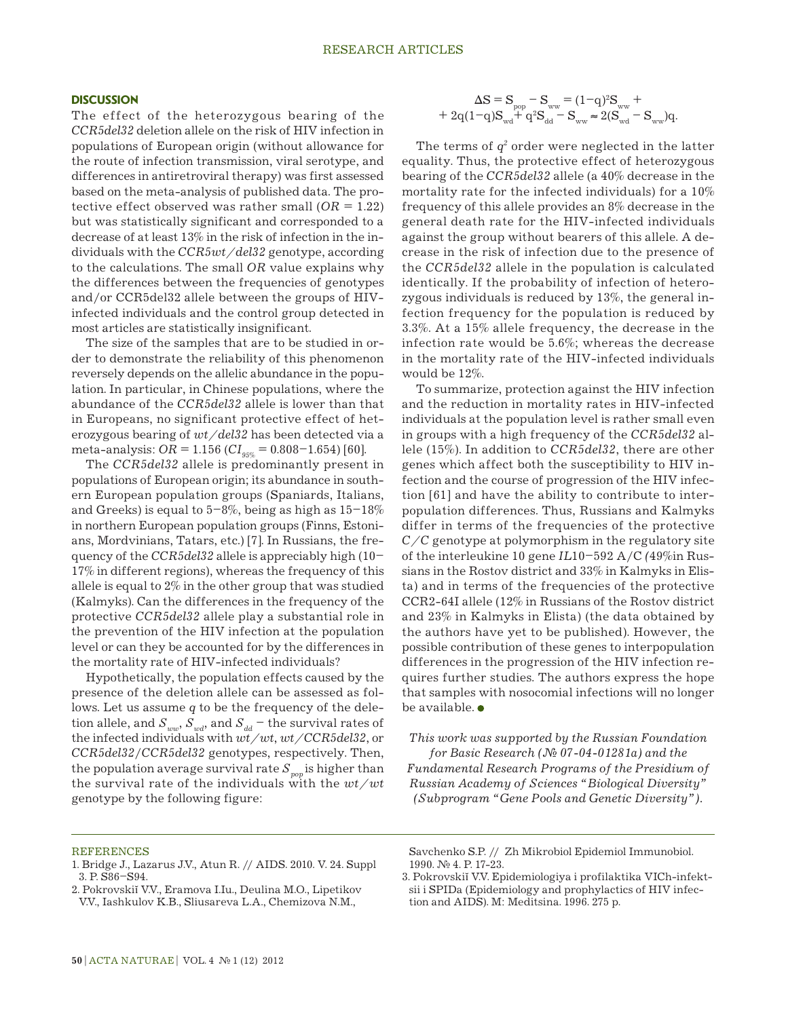#### **DISCUSSION**

The effect of the heterozygous bearing of the *CCR5del32* deletion allele on the risk of HIV infection in populations of European origin (without allowance for the route of infection transmission, viral serotype, and differences in antiretroviral therapy) was first assessed based on the meta-analysis of published data. The protective effect observed was rather small  $(OR = 1.22)$ but was statistically significant and corresponded to a decrease of at least 13% in the risk of infection in the individuals with the *CCR5wt/del32* genotype, according to the calculations. The small *OR* value explains why the differences between the frequencies of genotypes and/or CCR5del32 allele between the groups of HIVinfected individuals and the control group detected in most articles are statistically insignificant.

The size of the samples that are to be studied in order to demonstrate the reliability of this phenomenon reversely depends on the allelic abundance in the population. In particular, in Chinese populations, where the abundance of the *CCR5del32* allele is lower than that in Europeans, no significant protective effect of heterozygous bearing of *wt/del32* has been detected via a meta-analysis: *OR* = 1.156 (*CI*<sub>95%</sub> = 0.808-1.654) [60].

The *CCR5del32* allele is predominantly present in populations of European origin; its abundance in southern European population groups (Spaniards, Italians, and Greeks) is equal to  $5-8\%$ , being as high as  $15-18\%$ in northern European population groups (Finns, Estonians, Mordvinians, Tatars, etc.) [7]. In Russians, the frequency of the *CCR5del32* allele is appreciably high (10– 17% in different regions), whereas the frequency of this allele is equal to 2% in the other group that was studied (Kalmyks). Can the differences in the frequency of the protective *CCR5del32* allele play a substantial role in the prevention of the HIV infection at the population level or can they be accounted for by the differences in the mortality rate of HIV-infected individuals?

Hypothetically, the population effects caused by the presence of the deletion allele can be assessed as follows. Let us assume *q* to be the frequency of the deletion allele, and  $S_{ww}$ ,  $S_{wd}$ , and  $S_{dd}$  – the survival rates of the infected individuals with *wt/wt*, *wt/CCR5del32*, or *CCR5del32*/*CCR5del32* genotypes, respectively. Then, the population average survival rate  $S_{pop}$  is higher than the survival rate of the individuals with the *wt/wt* genotype by the following figure:

$$
\Delta S = S_{\text{pop}} - S_{\text{ww}} = (1-q)^2 S_{\text{ww}} + 2q(1-q)S_{\text{wd}} + q^2 S_{\text{dd}} - S_{\text{ww}} \approx 2(S_{\text{wd}} - S_{\text{ww}})q.
$$

The terms of  $q^2$  order were neglected in the latter equality. Thus, the protective effect of heterozygous bearing of the *CCR5del32* allele (a 40% decrease in the mortality rate for the infected individuals) for a 10% frequency of this allele provides an 8% decrease in the general death rate for the HIV-infected individuals against the group without bearers of this allele. A decrease in the risk of infection due to the presence of the *CCR5del32* allele in the population is calculated identically. If the probability of infection of heterozygous individuals is reduced by 13%, the general infection frequency for the population is reduced by 3.3%. At a 15% allele frequency, the decrease in the infection rate would be 5.6%; whereas the decrease in the mortality rate of the HIV-infected individuals would be 12%.

To summarize, protection against the HIV infection and the reduction in mortality rates in HIV-infected individuals at the population level is rather small even in groups with a high frequency of the *CCR5del32* allele (15%). In addition to *CCR5del32*, there are other genes which affect both the susceptibility to HIV infection and the course of progression of the HIV infection [61] and have the ability to contribute to interpopulation differences. Thus, Russians and Kalmyks differ in terms of the frequencies of the protective *C/C* genotype at polymorphism in the regulatory site of the interleukine 10 gene *IL*10–592 A/C *(*49%in Russians in the Rostov district and 33% in Kalmyks in Elista) and in terms of the frequencies of the protective CCR2-64I allele (12% in Russians of the Rostov district and 23% in Kalmyks in Elista) (the data obtained by the authors have yet to be published). However, the possible contribution of these genes to interpopulation differences in the progression of the HIV infection requires further studies. The authors express the hope that samples with nosocomial infections will no longer be available.

*This work was supported by the Russian Foundation for Basic Research (№ 07-04-01281а) and the Fundamental Research Programs of the Presidium of Russian Academy of Sciences "Biological Diversity" (Subprogram "Gene Pools and Genetic Diversity").*

#### REFERENCES

- 1. Bridge J., Lazarus J.V., Atun R. // AIDS. 2010. V. 24. Suppl 3. P. S86–S94.
- 2. Pokrovskiĭ V.V., Eramova I.Iu., Deulina M.O., Lipetikov V.V., Iashkulov K.B., Sliusareva L.A., Chemizova N.M.,

Savchenko S.P. // Zh Mikrobiol Epidemiol Immunobiol. 1990. № 4. P. 17-23.

3. Pokrovskiĭ V.V. Epidemiologiya i profilaktika VICh-infektsii i SPIDa (Epidemiology and prophylactics of HIV infection and AIDS). M: Meditsina. 1996. 275 p.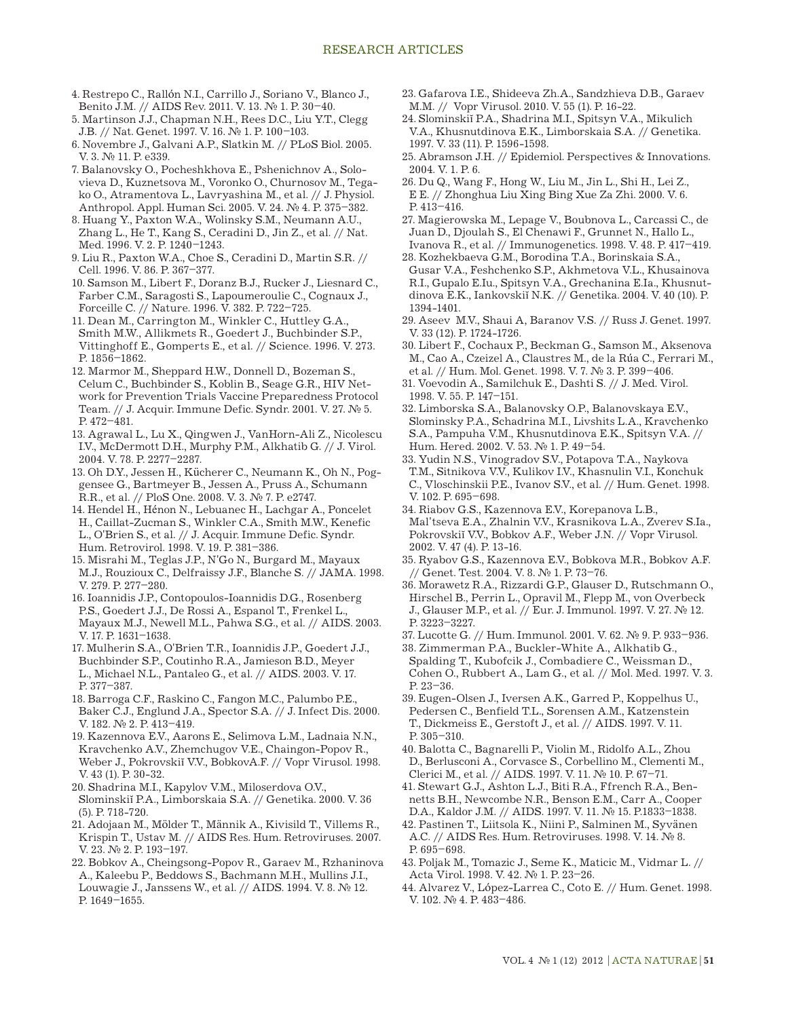- 4. Restrepo C., Rallón N.I., Carrillo J., Soriano V., Blanco J., Benito J.M. // AIDS Rev. 2011. V. 13. № 1. P. 30–40.
- 5. Martinson J.J., Chapman N.H., Rees D.C., Liu Y.T., Clegg J.B. // Nat. Genet. 1997. V. 16. № 1. P. 100–103.
- 6. Novembre J., Galvani A.P., Slatkin M. // PLoS Biol. 2005. V. 3. № 11. P. e339.
- 7. Balanovsky O., Pocheshkhova E., Pshenichnov A., Solovieva D., Kuznetsova M., Voronko O., Churnosov M., Tegako O., Atramentova L., Lavryashina M., et al. // J. Physiol. Anthropol. Appl. Human Sci. 2005. V. 24. № 4. P. 375–382.
- 8. Huang Y., Paxton W.A., Wolinsky S.M., Neumann A.U., Zhang L., He T., Kang S., Ceradini D., Jin Z., et al. // Nat. Med. 1996. V. 2. P. 1240–1243.
- 9. Liu R., Paxton W.A., Choe S., Ceradini D., Martin S.R. // Cell. 1996. V. 86. P. 367–377.
- 10. Samson M., Libert F., Doranz B.J., Rucker J., Liesnard C., Farber C.M., Saragosti S., Lapoumeroulie C., Cognaux J., Forceille C. // Nature. 1996. V. 382. P. 722–725.
- 11. Dean M., Carrington M., Winkler C., Huttley G.A., Smith M.W., Allikmets R., Goedert J., Buchbinder S.P., Vittinghoff E., Gomperts E., et al. // Science. 1996. V. 273. P. 1856–1862.
- 12. Marmor M., Sheppard H.W., Donnell D., Bozeman S., Celum C., Buchbinder S., Koblin B., Seage G.R., HIV Network for Prevention Trials Vaccine Preparedness Protocol Team. // J. Acquir. Immune Defic. Syndr. 2001. V. 27. № 5. P. 472–481.
- 13. Agrawal L., Lu X., Qingwen J., VanHorn-Ali Z., Nicolescu I.V., McDermott D.H., Murphy P.M., Alkhatib G. // J. Virol. 2004. V. 78. P. 2277–2287.
- 13. Oh D.Y., Jessen H., Kücherer C., Neumann K., Oh N., Poggensee G., Bartmeyer B., Jessen A., Pruss A., Schumann R.R., et al. // PloS One. 2008. V. 3. № 7. P. e2747.
- 14. Hendel H., Hénon N., Lebuanec H., Lachgar A., Poncelet H., Caillat-Zucman S., Winkler C.A., Smith M.W., Kenefic L., O'Brien S., et al. // J. Acquir. Immune Defic. Syndr. Hum. Retrovirol. 1998. V. 19. P. 381–386.
- 15. Misrahi M., Teglas J.P., N'Go N., Burgard M., Mayaux M.J., Rouzioux C., Delfraissy J.F., Blanche S. // JAMA. 1998. V. 279. P. 277–280.
- 16. Ioannidis J.P., Contopoulos-Ioannidis D.G., Rosenberg P.S., Goedert J.J., De Rossi A., Espanol T., Frenkel L., Mayaux M.J., Newell M.L., Pahwa S.G., et al. // AIDS. 2003. V. 17. P. 1631–1638.
- 17. Mulherin S.A., O'Brien T.R., Ioannidis J.P., Goedert J.J., Buchbinder S.P., Coutinho R.A., Jamieson B.D., Meyer L., Michael N.L., Pantaleo G., et al. // AIDS. 2003. V. 17. P. 377–387.
- 18. Barroga C.F., Raskino C., Fangon M.C., Palumbo P.E., Baker C.J., Englund J.A., Spector S.A. // J. Infect Dis. 2000. V. 182. № 2. P. 413–419.
- 19. Kazennova E.V., Aarons E., Selimova L.M., Ladnaia N.N., Kravchenko A.V., Zhemchugov V.E., Chaingon-Popov R., Weber J., Pokrovskiĭ V.V., BobkovA.F. // Vopr Virusol. 1998. V. 43 (1). P. 30-32.
- 20. Shadrina M.I., Kapylov V.M., Miloserdova O.V., Slominskiĭ P.A., Limborskaia S.A. // Genetika. 2000. V. 36 (5). P. 718-720.
- 21. Adojaan M., Mölder T., Männik A., Kivisild T., Villems R., Krispin T., Ustav M. // AIDS Res. Hum. Retroviruses. 2007. V. 23. № 2. P. 193–197.
- 22. Bobkov A., Cheingsong-Popov R., Garaev M., Rzhaninova A., Kaleebu P., Beddows S., Bachmann M.H., Mullins J.I., Louwagie J., Janssens W., et al. // AIDS. 1994. V. 8. № 12. P. 1649–1655.
- 23. Gafarova I.E., Shideeva Zh.A., Sandzhieva D.B., Garaev M.M. // Vopr Virusol. 2010. V. 55 (1). P. 16-22.
- 24. Slominskiĭ P.A., Shadrina M.I., Spitsyn V.A., Mikulich V.A., Khusnutdinova E.K., Limborskaia S.A. // Genetika. 1997. V. 33 (11). P. 1596-1598.
- 25. Abramson J.H. // Epidemiol. Perspectives & Innovations. 2004. V. 1. P. 6.
- 26. Du Q., Wang F., Hong W., Liu M., Jin L., Shi H., Lei Z., E E. // Zhonghua Liu Xing Bing Xue Za Zhi. 2000. V. 6. P. 413–416.
- 27. Magierowska M., Lepage V., Boubnova L., Carcassi C., de Juan D., Djoulah S., El Chenawi F., Grunnet N., Hallo L., Ivanova R., et al. // Immunogenetics. 1998. V. 48. P. 417–419.
- 28. Kozhekbaeva G.M., Borodina T.A., Borinskaia S.A., Gusar V.A., Feshchenko S.P., Akhmetova V.L., Khusainova R.I., Gupalo E.Iu., Spitsyn V.A., Grechanina E.Ia., Khusnutdinova E.K., Iankovskiĭ N.K. // Genetika. 2004. V. 40 (10). P. 1394-1401.
- 29. Aseev M.V., Shaui A, Baranov V.S. // Russ J. Genet. 1997. V. 33 (12). P. 1724-1726.
- 30. Libert F., Cochaux P., Beckman G., Samson M., Aksenova M., Cao A., Czeizel A., Claustres M., de la Rúa C., Ferrari M., et al. // Hum. Mol. Genet. 1998. V. 7. № 3. P. 399–406.
- 31. Voevodin A., Samilchuk E., Dashti S. // J. Med. Virol. 1998. V. 55. P. 147–151.
- 32. Limborska S.A., Balanovsky O.P., Balanovskaya E.V., Slominsky P.A., Schadrina M.I., Livshits L.A., Kravchenko S.A., Pampuha V.M., Khusnutdinova E.K., Spitsyn V.A. // Hum. Hered. 2002. V. 53. № 1. P. 49–54.
- 33. Yudin N.S., Vinogradov S.V., Potapova T.A., Naykova T.M., Sitnikova V.V., Kulikov I.V., Khasnulin V.I., Konchuk C., Vloschinskii P.E., Ivanov S.V., et al. // Hum. Genet. 1998. V. 102. P. 695–698.
- 34. Riabov G.S., Kazennova E.V., Korepanova L.B., Mal'tseva E.A., Zhalnin V.V., Krasnikova L.A., Zverev S.Ia., Pokrovskiĭ V.V., Bobkov A.F., Weber J.N. // Vopr Virusol. 2002. V. 47 (4). P. 13-16.
- 35. Ryabov G.S., Kazennova E.V., Bobkova M.R., Bobkov A.F. // Genet. Test. 2004. V. 8. № 1. P. 73–76.
- 36. Morawetz R.A., Rizzardi G.P., Glauser D., Rutschmann O., Hirschel B., Perrin L., Opravil M., Flepp M., von Overbeck J., Glauser M.P., et al. // Eur. J. Immunol. 1997. V. 27. № 12. P. 3223–3227.
- 37. Lucotte G. // Hum. Immunol. 2001. V. 62. № 9. P. 933–936.
- 38. Zimmerman P.A., Buckler-White A., Alkhatib G., Spalding T., Kubofcik J., Combadiere C., Weissman D.,

Cohen O., Rubbert A., Lam G., et al. // Mol. Med. 1997. V. 3. P. 23–36.

- 39. Eugen-Olsen J., Iversen A.K., Garred P., Koppelhus U., Pedersen C., Benfield T.L., Sorensen A.M., Katzenstein T., Dickmeiss E., Gerstoft J., et al. // AIDS. 1997. V. 11. P. 305–310.
- 40. Balotta C., Bagnarelli P., Violin M., Ridolfo A.L., Zhou D., Berlusconi A., Corvasce S., Corbellino M., Clementi M., Clerici M., et al. // AIDS. 1997. V. 11. № 10. P. 67–71.
- 41. Stewart G.J., Ashton L.J., Biti R.A., Ffrench R.A., Bennetts B.H., Newcombe N.R., Benson E.M., Carr A., Cooper D.A., Kaldor J.M. // AIDS. 1997. V. 11. № 15. P.1833–1838.
- 42. Pastinen T., Liitsola K., Niini P., Salminen M., Syvänen A.C. // AIDS Res. Hum. Retroviruses. 1998. V. 14. № 8. P. 695–698.
- 43. Poljak M., Tomazic J., Seme K., Maticic M., Vidmar L. // Acta Virol. 1998. V. 42. № 1. P. 23–26.
- 44. Alvarez V., López-Larrea C., Coto E. // Hum. Genet. 1998. V. 102. № 4. P. 483–486.